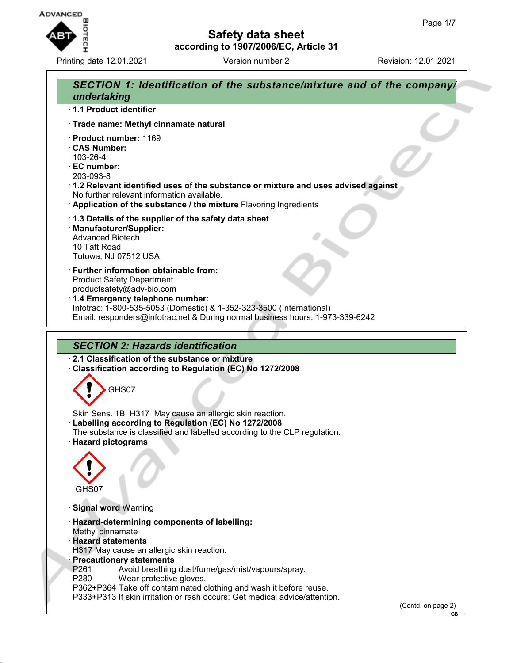

Printing date 12.01.2021 Version number 2 Revision: 12.01.2021

# **Safety data sheet according to 1907/2006/EC, Article 31**

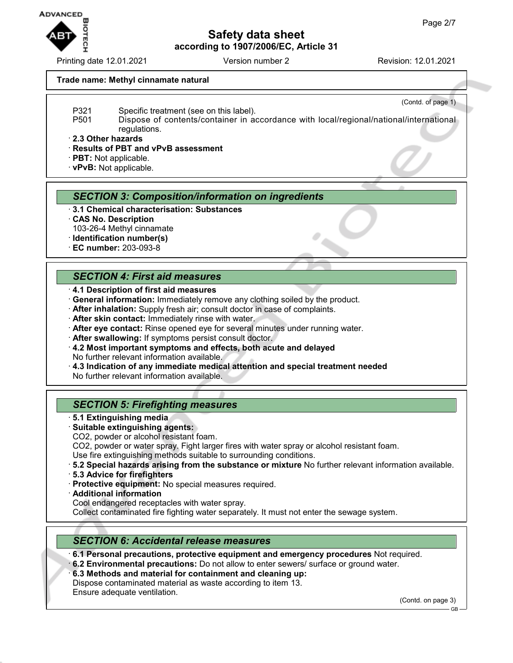

Printing date 12.01.2021 Version number 2 Revision: 12.01.2021

#### **Trade name: Methyl cinnamate natural**

(Contd. of page 1)

- P321 Specific treatment (see on this label).
- P501 Dispose of contents/container in accordance with local/regional/national/international regulations.

· **2.3 Other hazards**

· **Results of PBT and vPvB assessment**

· **PBT:** Not applicable.

· **vPvB:** Not applicable.

### *SECTION 3: Composition/information on ingredients*

- · **3.1 Chemical characterisation: Substances**
- · **CAS No. Description** 103-26-4 Methyl cinnamate
- · **Identification number(s)**
- · **EC number:** 203-093-8

## *SECTION 4: First aid measures*

- · **4.1 Description of first aid measures**
- · **General information:** Immediately remove any clothing soiled by the product.
- · **After inhalation:** Supply fresh air; consult doctor in case of complaints.
- · **After skin contact:** Immediately rinse with water.
- · **After eye contact:** Rinse opened eye for several minutes under running water.
- · **After swallowing:** If symptoms persist consult doctor.
- · **4.2 Most important symptoms and effects, both acute and delayed** No further relevant information available.
- · **4.3 Indication of any immediate medical attention and special treatment needed**

No further relevant information available.

## *SECTION 5: Firefighting measures*

- · **5.1 Extinguishing media**
- · **Suitable extinguishing agents:**
- CO2, powder or alcohol resistant foam.

CO2, powder or water spray. Fight larger fires with water spray or alcohol resistant foam.

- Use fire extinguishing methods suitable to surrounding conditions.
- · **5.2 Special hazards arising from the substance or mixture** No further relevant information available.
- · **5.3 Advice for firefighters**
- · **Protective equipment:** No special measures required.
- · **Additional information**

Cool endangered receptacles with water spray.

Collect contaminated fire fighting water separately. It must not enter the sewage system.

## *SECTION 6: Accidental release measures*

· **6.1 Personal precautions, protective equipment and emergency procedures** Not required.

- · **6.2 Environmental precautions:** Do not allow to enter sewers/ surface or ground water.
- · **6.3 Methods and material for containment and cleaning up:**

Dispose contaminated material as waste according to item 13.

Ensure adequate ventilation.

(Contd. on page 3)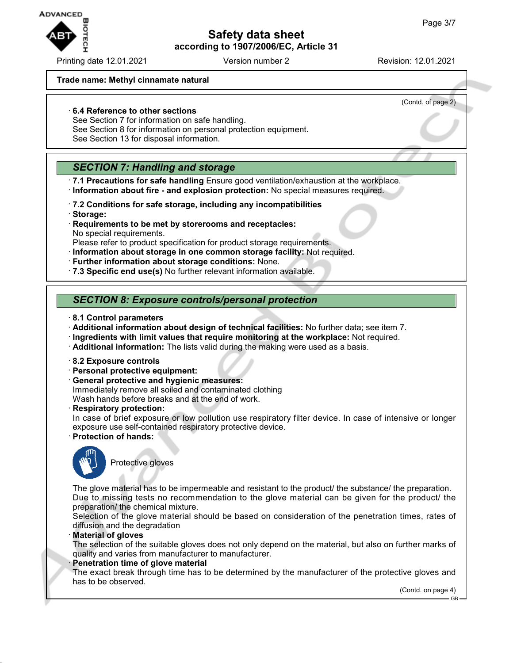

Printing date 12.01.2021 Version number 2 Revision: 12.01.2021

(Contd. of page 2)

## **Trade name: Methyl cinnamate natural**

## · **6.4 Reference to other sections**

- See Section 7 for information on safe handling.
- See Section 8 for information on personal protection equipment.
- See Section 13 for disposal information.

# *SECTION 7: Handling and storage*

- · **7.1 Precautions for safe handling** Ensure good ventilation/exhaustion at the workplace. · **Information about fire - and explosion protection:** No special measures required.
- · **7.2 Conditions for safe storage, including any incompatibilities** · **Storage:**
- · **Requirements to be met by storerooms and receptacles:** No special requirements.
- Please refer to product specification for product storage requirements.
- · **Information about storage in one common storage facility:** Not required.
- · **Further information about storage conditions:** None.
- · **7.3 Specific end use(s)** No further relevant information available.

# *SECTION 8: Exposure controls/personal protection*

- · **8.1 Control parameters**
- · **Additional information about design of technical facilities:** No further data; see item 7.
- · **Ingredients with limit values that require monitoring at the workplace:** Not required.
- · **Additional information:** The lists valid during the making were used as a basis.
- · **8.2 Exposure controls**
- · **Personal protective equipment:**
- · **General protective and hygienic measures:** Immediately remove all soiled and contaminated clothing Wash hands before breaks and at the end of work.
- · **Respiratory protection:**

In case of brief exposure or low pollution use respiratory filter device. In case of intensive or longer exposure use self-contained respiratory protective device.

· **Protection of hands:**



Protective gloves

The glove material has to be impermeable and resistant to the product/ the substance/ the preparation. Due to missing tests no recommendation to the glove material can be given for the product/ the preparation/ the chemical mixture.

Selection of the glove material should be based on consideration of the penetration times, rates of diffusion and the degradation

· **Material of gloves**

The selection of the suitable gloves does not only depend on the material, but also on further marks of quality and varies from manufacturer to manufacturer.

#### · **Penetration time of glove material**

The exact break through time has to be determined by the manufacturer of the protective gloves and has to be observed.

(Contd. on page 4)

GB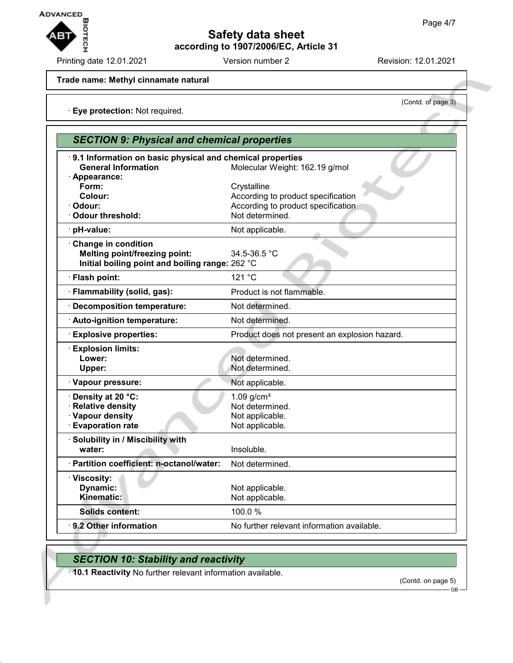

Printing date 12.01.2021 Version number 2 Revision: 12.01.2021

(Contd. of page 3)

#### **Trade name: Methyl cinnamate natural**

· **Eye protection:** Not required.

| <b>SECTION 9: Physical and chemical properties</b>                                                       |                                                                                                            |
|----------------------------------------------------------------------------------------------------------|------------------------------------------------------------------------------------------------------------|
| 9.1 Information on basic physical and chemical properties<br><b>General Information</b><br>· Appearance: | Molecular Weight: 162.19 g/mol                                                                             |
| Form:<br>Colour:<br>Odour:<br><b>Odour threshold:</b>                                                    | Crystalline<br>According to product specification<br>According to product specification<br>Not determined. |
| pH-value:                                                                                                | Not applicable.                                                                                            |
| Change in condition<br>Melting point/freezing point:<br>Initial boiling point and boiling range: 262 °C  | 34.5-36.5 °C                                                                                               |
| Flash point:                                                                                             | 121 °C                                                                                                     |
| · Flammability (solid, gas):                                                                             | Product is not flammable.                                                                                  |
| <b>Decomposition temperature:</b>                                                                        | Not determined.                                                                                            |
| Auto-ignition temperature:                                                                               | Not determined.                                                                                            |
| <b>Explosive properties:</b>                                                                             | Product does not present an explosion hazard.                                                              |
| <b>Explosion limits:</b><br>Lower:<br>Upper:                                                             | Not determined.<br>Not determined.                                                                         |
| · Vapour pressure:                                                                                       | Not applicable.                                                                                            |
| Density at 20 °C:<br><b>Relative density</b><br>· Vapour density<br><b>Evaporation rate</b>              | $1.09$ g/cm <sup>3</sup><br>Not determined.<br>Not applicable.<br>Not applicable.                          |
| Solubility in / Miscibility with<br>water:                                                               | Insoluble.                                                                                                 |
| · Partition coefficient: n-octanol/water:                                                                | Not determined.                                                                                            |
| · Viscosity:<br>Dynamic:<br>Kinematic:                                                                   | Not applicable.<br>Not applicable.                                                                         |
| <b>Solids content:</b>                                                                                   | 100.0%                                                                                                     |
| · 9.2 Other information                                                                                  | No further relevant information available.                                                                 |

# *SECTION 10: Stability and reactivity*

· **10.1 Reactivity** No further relevant information available.

(Contd. on page 5)

GB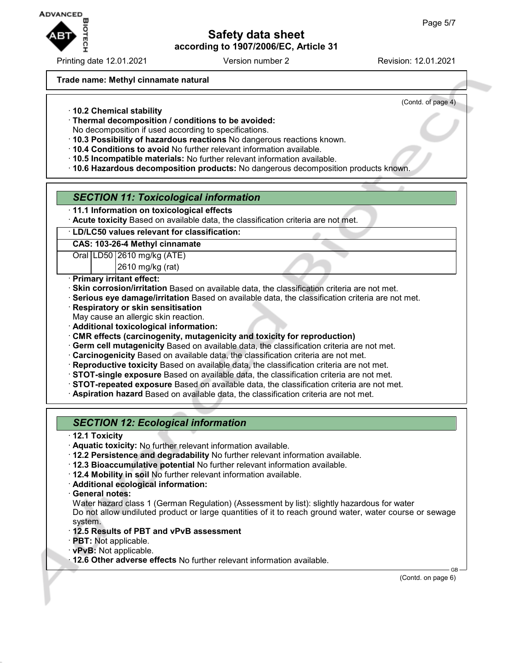

Printing date 12.01.2021 Version number 2 Revision: 12.01.2021

## **Trade name: Methyl cinnamate natural**

(Contd. of page 4)

- · **10.2 Chemical stability**
- · **Thermal decomposition / conditions to be avoided:**
- No decomposition if used according to specifications.
- · **10.3 Possibility of hazardous reactions** No dangerous reactions known.
- · **10.4 Conditions to avoid** No further relevant information available.
- · **10.5 Incompatible materials:** No further relevant information available.
- · **10.6 Hazardous decomposition products:** No dangerous decomposition products known.

## *SECTION 11: Toxicological information*

- · **11.1 Information on toxicological effects**
- · **Acute toxicity** Based on available data, the classification criteria are not met.

### · **LD/LC50 values relevant for classification:**

#### **CAS: 103-26-4 Methyl cinnamate**

Oral LD50 2610 mg/kg (ATE)

2610 mg/kg (rat)

- · **Primary irritant effect:**
- · **Skin corrosion/irritation** Based on available data, the classification criteria are not met.
- · **Serious eye damage/irritation** Based on available data, the classification criteria are not met.
- · **Respiratory or skin sensitisation**
- May cause an allergic skin reaction.
- · **Additional toxicological information:**
- · **CMR effects (carcinogenity, mutagenicity and toxicity for reproduction)**
- · **Germ cell mutagenicity** Based on available data, the classification criteria are not met.
- · **Carcinogenicity** Based on available data, the classification criteria are not met.
- · **Reproductive toxicity** Based on available data, the classification criteria are not met.
- · **STOT-single exposure** Based on available data, the classification criteria are not met.
- · **STOT-repeated exposure** Based on available data, the classification criteria are not met.
- · **Aspiration hazard** Based on available data, the classification criteria are not met.

# *SECTION 12: Ecological information*

- · **12.1 Toxicity**
- · **Aquatic toxicity:** No further relevant information available.
- · **12.2 Persistence and degradability** No further relevant information available.
- · **12.3 Bioaccumulative potential** No further relevant information available.
- · **12.4 Mobility in soil** No further relevant information available.
- · **Additional ecological information:**
- · **General notes:**
- Water hazard class 1 (German Regulation) (Assessment by list): slightly hazardous for water Do not allow undiluted product or large quantities of it to reach ground water, water course or sewage system.
- · **12.5 Results of PBT and vPvB assessment**
- · **PBT:** Not applicable.
- · **vPvB:** Not applicable.
- · **12.6 Other adverse effects** No further relevant information available.

(Contd. on page 6)

GB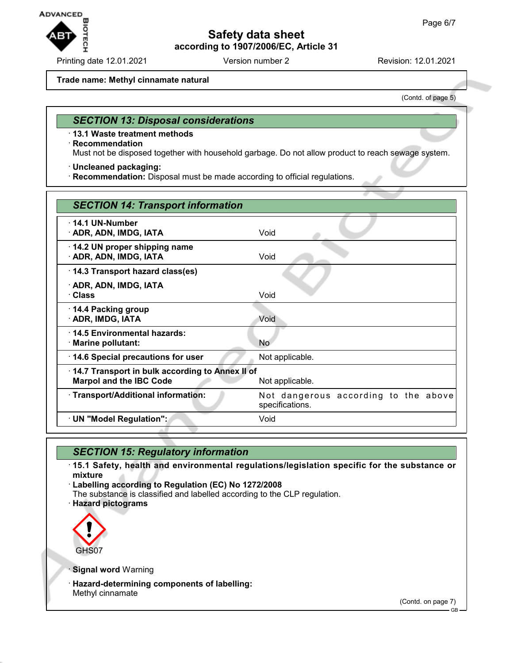

Printing date 12.01.2021 Version number 2 Revision: 12.01.2021

#### **Trade name: Methyl cinnamate natural**

(Contd. of page 5)

### *SECTION 13: Disposal considerations*

· **13.1 Waste treatment methods**

#### · **Recommendation**

Must not be disposed together with household garbage. Do not allow product to reach sewage system.

· **Uncleaned packaging:**

· **Recommendation:** Disposal must be made according to official regulations.

| <b>SECTION 14: Transport information</b>                                          |                                                         |
|-----------------------------------------------------------------------------------|---------------------------------------------------------|
| $\cdot$ 14.1 UN-Number<br>· ADR, ADN, IMDG, IATA                                  | Void                                                    |
| 14.2 UN proper shipping name<br>· ADR, ADN, IMDG, IATA                            | Void                                                    |
| 14.3 Transport hazard class(es)                                                   |                                                         |
| · ADR, ADN, IMDG, IATA<br>· Class                                                 | Void                                                    |
| 14.4 Packing group<br>· ADR, IMDG, IATA                                           | Void                                                    |
| 14.5 Environmental hazards:<br>· Marine pollutant:                                | <b>No</b>                                               |
| 14.6 Special precautions for user                                                 | Not applicable.                                         |
| 14.7 Transport in bulk according to Annex II of<br><b>Marpol and the IBC Code</b> | Not applicable.                                         |
| · Transport/Additional information:                                               | Not dangerous according to the above<br>specifications. |
| · UN "Model Regulation":                                                          | Void                                                    |

## *SECTION 15: Regulatory information*

· **15.1 Safety, health and environmental regulations/legislation specific for the substance or mixture**

· **Labelling according to Regulation (EC) No 1272/2008**

- The substance is classified and labelled according to the CLP regulation.
- · **Hazard pictograms**



**Signal word Warning** 

· **Hazard-determining components of labelling:** Methyl cinnamate

(Contd. on page 7)

GB